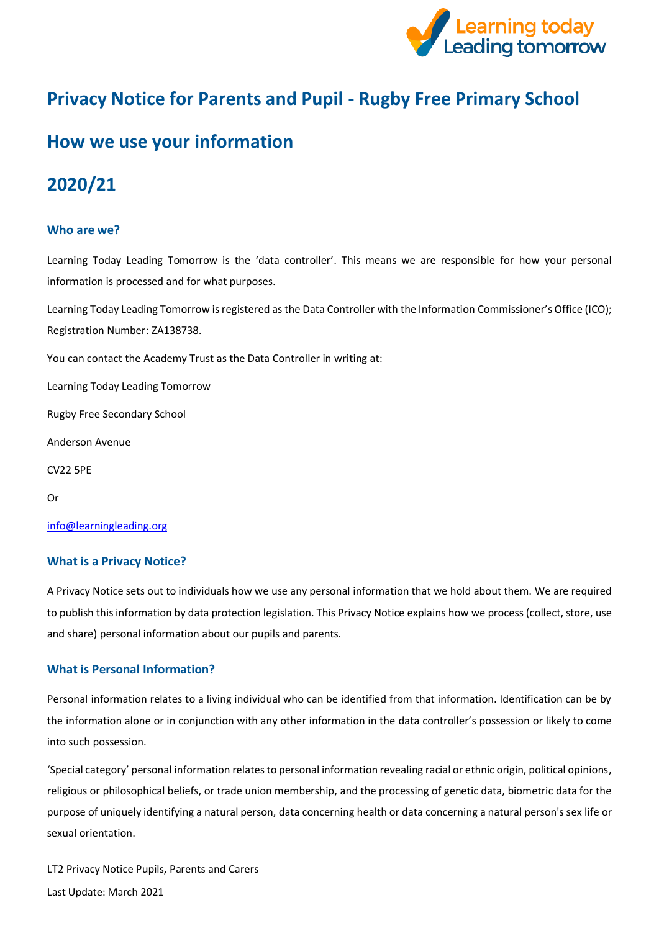

# **Privacy Notice for Parents and Pupil - Rugby Free Primary School**

## **How we use your information**

## **2020/21**

### **Who are we?**

Learning Today Leading Tomorrow is the 'data controller'. This means we are responsible for how your personal information is processed and for what purposes.

Learning Today Leading Tomorrow is registered as the Data Controller with the Information Commissioner's Office (ICO); Registration Number: ZA138738.

You can contact the Academy Trust as the Data Controller in writing at:

Learning Today Leading Tomorrow

Rugby Free Secondary School

Anderson Avenue

CV22 5PE

Or

[info@learningleading.org](https://rfps-my.sharepoint.com/personal/georgina_langley_learningleading_org/Documents/GDPR/Privacy%20Notice/Parent-Carer%20Privacy%20Notices/info@learningleading.org)

#### **What is a Privacy Notice?**

A Privacy Notice sets out to individuals how we use any personal information that we hold about them. We are required to publish this information by data protection legislation. This Privacy Notice explains how we process (collect, store, use and share) personal information about our pupils and parents.

#### **What is Personal Information?**

Personal information relates to a living individual who can be identified from that information. Identification can be by the information alone or in conjunction with any other information in the data controller's possession or likely to come into such possession.

'Special category' personal information relates to personal information revealing racial or ethnic origin, political opinions, religious or philosophical beliefs, or trade union membership, and the processing of genetic data, biometric data for the purpose of uniquely identifying a natural person, data concerning health or data concerning a natural person's sex life or sexual orientation.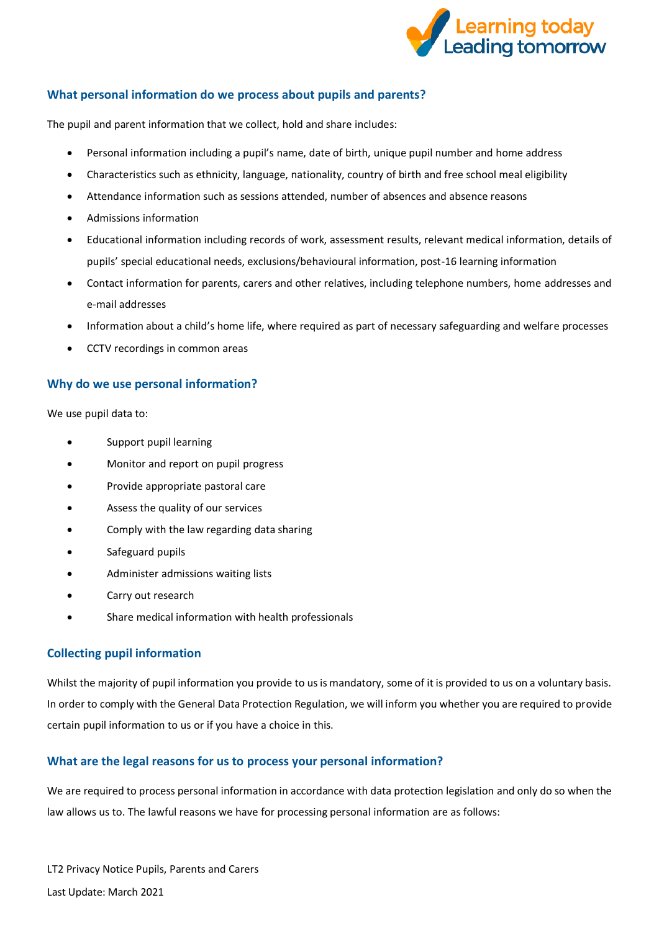

## **What personal information do we process about pupils and parents?**

The pupil and parent information that we collect, hold and share includes:

- Personal information including a pupil's name, date of birth, unique pupil number and home address
- Characteristics such as ethnicity, language, nationality, country of birth and free school meal eligibility
- Attendance information such as sessions attended, number of absences and absence reasons
- Admissions information
- Educational information including records of work, assessment results, relevant medical information, details of pupils' special educational needs, exclusions/behavioural information, post-16 learning information
- Contact information for parents, carers and other relatives, including telephone numbers, home addresses and e-mail addresses
- Information about a child's home life, where required as part of necessary safeguarding and welfare processes
- CCTV recordings in common areas

## **Why do we use personal information?**

We use pupil data to:

- Support pupil learning
- Monitor and report on pupil progress
- Provide appropriate pastoral care
- Assess the quality of our services
- Comply with the law regarding data sharing
- Safeguard pupils
- Administer admissions waiting lists
- Carry out research
- Share medical information with health professionals

## **Collecting pupil information**

Whilst the majority of pupil information you provide to us is mandatory, some of it is provided to us on a voluntary basis. In order to comply with the General Data Protection Regulation, we will inform you whether you are required to provide certain pupil information to us or if you have a choice in this.

## **What are the legal reasons for us to process your personal information?**

We are required to process personal information in accordance with data protection legislation and only do so when the law allows us to. The lawful reasons we have for processing personal information are as follows: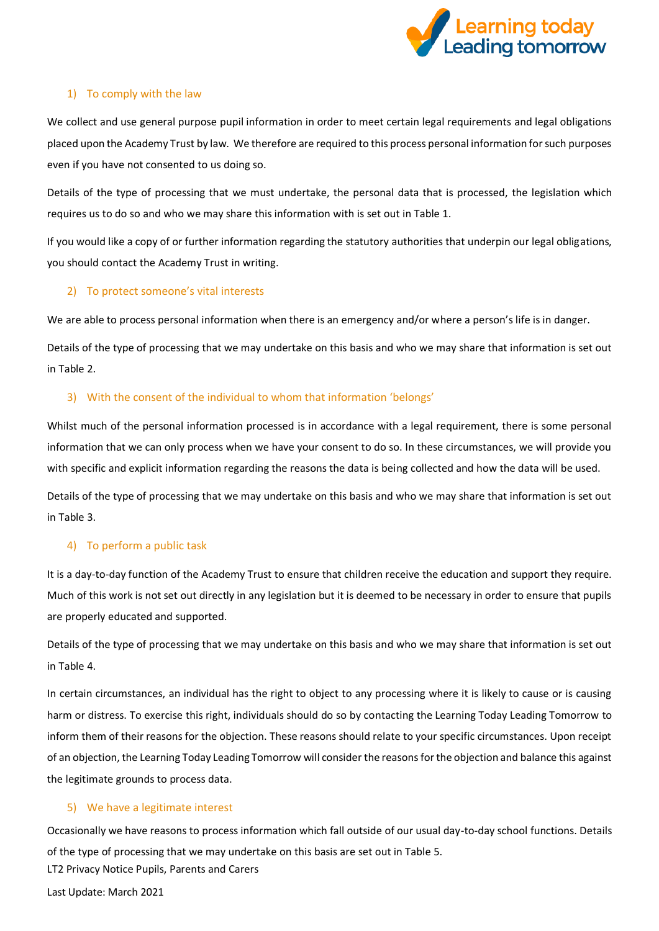

#### 1) To comply with the law

We collect and use general purpose pupil information in order to meet certain legal requirements and legal obligations placed upon the Academy Trust by law. We therefore are required to this process personal information for such purposes even if you have not consented to us doing so.

Details of the type of processing that we must undertake, the personal data that is processed, the legislation which requires us to do so and who we may share this information with is set out in Table 1.

If you would like a copy of or further information regarding the statutory authorities that underpin our legal obligations, you should contact the Academy Trust in writing.

## 2) To protect someone's vital interests

We are able to process personal information when there is an emergency and/or where a person's life is in danger.

Details of the type of processing that we may undertake on this basis and who we may share that information is set out in Table 2.

## 3) With the consent of the individual to whom that information 'belongs'

Whilst much of the personal information processed is in accordance with a legal requirement, there is some personal information that we can only process when we have your consent to do so. In these circumstances, we will provide you with specific and explicit information regarding the reasons the data is being collected and how the data will be used.

Details of the type of processing that we may undertake on this basis and who we may share that information is set out in Table 3.

#### 4) To perform a public task

It is a day-to-day function of the Academy Trust to ensure that children receive the education and support they require. Much of this work is not set out directly in any legislation but it is deemed to be necessary in order to ensure that pupils are properly educated and supported.

Details of the type of processing that we may undertake on this basis and who we may share that information is set out in Table 4.

In certain circumstances, an individual has the right to object to any processing where it is likely to cause or is causing harm or distress. To exercise this right, individuals should do so by contacting the Learning Today Leading Tomorrow to inform them of their reasons for the objection. These reasons should relate to your specific circumstances. Upon receipt of an objection, the Learning Today Leading Tomorrow will consider the reasons for the objection and balance this against the legitimate grounds to process data.

#### 5) We have a legitimate interest

LT2 Privacy Notice Pupils, Parents and Carers Occasionally we have reasons to process information which fall outside of our usual day-to-day school functions. Details of the type of processing that we may undertake on this basis are set out in Table 5.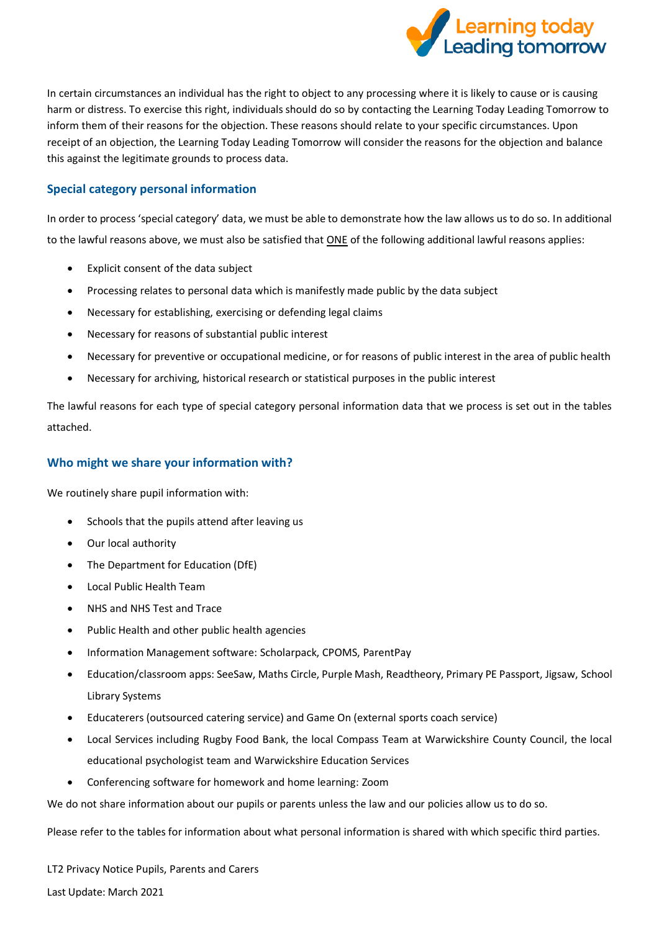

In certain circumstances an individual has the right to object to any processing where it is likely to cause or is causing harm or distress. To exercise this right, individuals should do so by contacting the Learning Today Leading Tomorrow to inform them of their reasons for the objection. These reasons should relate to your specific circumstances. Upon receipt of an objection, the Learning Today Leading Tomorrow will consider the reasons for the objection and balance this against the legitimate grounds to process data.

## **Special category personal information**

In order to process 'special category' data, we must be able to demonstrate how the law allows us to do so. In additional to the lawful reasons above, we must also be satisfied that ONE of the following additional lawful reasons applies:

- Explicit consent of the data subject
- Processing relates to personal data which is manifestly made public by the data subject
- Necessary for establishing, exercising or defending legal claims
- Necessary for reasons of substantial public interest
- Necessary for preventive or occupational medicine, or for reasons of public interest in the area of public health
- Necessary for archiving, historical research or statistical purposes in the public interest

The lawful reasons for each type of special category personal information data that we process is set out in the tables attached.

## **Who might we share your information with?**

We routinely share pupil information with:

- Schools that the pupils attend after leaving us
- Our local authority
- The Department for Education (DfE)
- Local Public Health Team
- NHS and NHS Test and Trace
- Public Health and other public health agencies
- Information Management software: Scholarpack, CPOMS, ParentPay
- Education/classroom apps: SeeSaw, Maths Circle, Purple Mash, Readtheory, Primary PE Passport, Jigsaw, School Library Systems
- Educaterers (outsourced catering service) and Game On (external sports coach service)
- Local Services including Rugby Food Bank, the local Compass Team at Warwickshire County Council, the local educational psychologist team and Warwickshire Education Services
- Conferencing software for homework and home learning: Zoom

We do not share information about our pupils or parents unless the law and our policies allow us to do so.

Please refer to the tables for information about what personal information is shared with which specific third parties.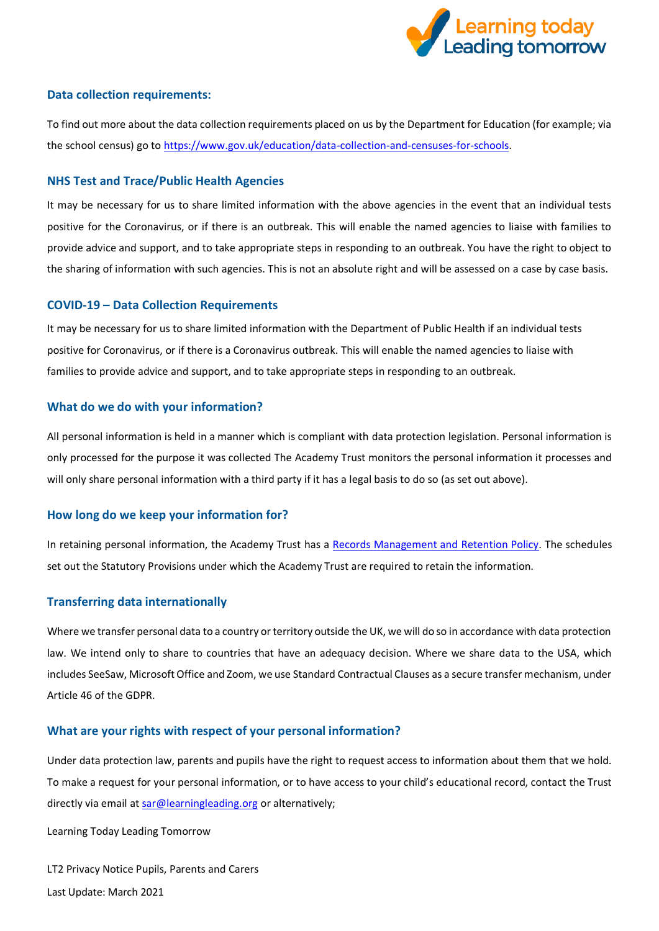

#### **Data collection requirements:**

To find out more about the data collection requirements placed on us by the Department for Education (for example; via the school census) go to [https://www.gov.uk/education/data-collection-and-censuses-for-schools.](https://www.gov.uk/education/data-collection-and-censuses-for-schools)

#### **NHS Test and Trace/Public Health Agencies**

It may be necessary for us to share limited information with the above agencies in the event that an individual tests positive for the Coronavirus, or if there is an outbreak. This will enable the named agencies to liaise with families to provide advice and support, and to take appropriate steps in responding to an outbreak. You have the right to object to the sharing of information with such agencies. This is not an absolute right and will be assessed on a case by case basis.

#### **COVID-19 – Data Collection Requirements**

It may be necessary for us to share limited information with the Department of Public Health if an individual tests positive for Coronavirus, or if there is a Coronavirus outbreak. This will enable the named agencies to liaise with families to provide advice and support, and to take appropriate steps in responding to an outbreak.

#### **What do we do with your information?**

All personal information is held in a manner which is compliant with data protection legislation. Personal information is only processed for the purpose it was collected The Academy Trust monitors the personal information it processes and will only share personal information with a third party if it has a legal basis to do so (as set out above).

#### **How long do we keep your information for?**

In retaining personal information, the Academy Trust has a [Records Management and Retention Policy.](https://www.the-trust-governor.co.uk/documents/202103240752500.210326%20LT2%20Records%20Management%20Policy.pdf) The schedules set out the Statutory Provisions under which the Academy Trust are required to retain the information.

#### **Transferring data internationally**

Where we transfer personal data to a country or territory outside the UK, we will do so in accordance with data protection law. We intend only to share to countries that have an adequacy decision. Where we share data to the USA, which includes SeeSaw, Microsoft Office and Zoom, we use Standard Contractual Clauses as a secure transfer mechanism, under Article 46 of the GDPR.

#### **What are your rights with respect of your personal information?**

Under data protection law, parents and pupils have the right to request access to information about them that we hold. To make a request for your personal information, or to have access to your child's educational record, contact the Trust directly via email a[t sar@learningleading.org](mailto:sar@learningleading.org) or alternatively;

Learning Today Leading Tomorrow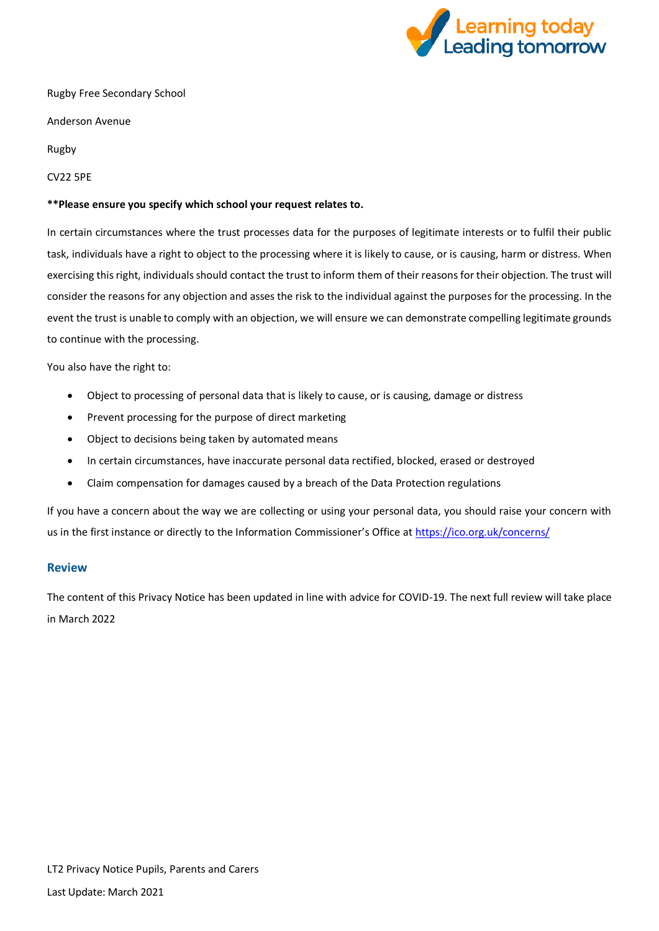

Rugby Free Secondary School

Anderson Avenue

Rugby

CV22 5PE

#### **\*\*Please ensure you specify which school your request relates to.**

In certain circumstances where the trust processes data for the purposes of legitimate interests or to fulfil their public task, individuals have a right to object to the processing where it is likely to cause, or is causing, harm or distress. When exercising this right, individuals should contact the trust to inform them of their reasons for their objection. The trust will consider the reasons for any objection and asses the risk to the individual against the purposes for the processing. In the event the trust is unable to comply with an objection, we will ensure we can demonstrate compelling legitimate grounds to continue with the processing.

You also have the right to:

- Object to processing of personal data that is likely to cause, or is causing, damage or distress
- Prevent processing for the purpose of direct marketing
- Object to decisions being taken by automated means
- In certain circumstances, have inaccurate personal data rectified, blocked, erased or destroyed
- Claim compensation for damages caused by a breach of the Data Protection regulations

If you have a concern about the way we are collecting or using your personal data, you should raise your concern with us in the first instance or directly to the Information Commissioner's Office at <https://ico.org.uk/concerns/>

#### **Review**

The content of this Privacy Notice has been updated in line with advice for COVID-19. The next full review will take place in March 2022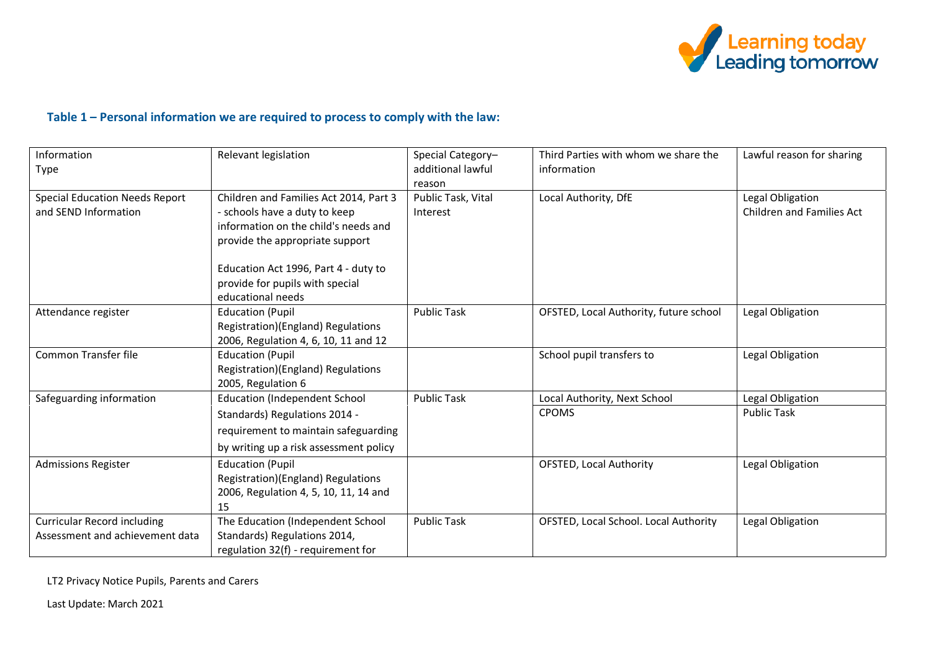

## **Table 1 – Personal information we are required to process to comply with the law:**

| Information                           | Relevant legislation                   | Special Category-  | Third Parties with whom we share the   | Lawful reason for sharing        |
|---------------------------------------|----------------------------------------|--------------------|----------------------------------------|----------------------------------|
| Type                                  |                                        | additional lawful  | information                            |                                  |
|                                       |                                        | reason             |                                        |                                  |
| <b>Special Education Needs Report</b> | Children and Families Act 2014, Part 3 | Public Task, Vital | Local Authority, DfE                   | Legal Obligation                 |
| and SEND Information                  | - schools have a duty to keep          | Interest           |                                        | <b>Children and Families Act</b> |
|                                       | information on the child's needs and   |                    |                                        |                                  |
|                                       | provide the appropriate support        |                    |                                        |                                  |
|                                       |                                        |                    |                                        |                                  |
|                                       | Education Act 1996, Part 4 - duty to   |                    |                                        |                                  |
|                                       | provide for pupils with special        |                    |                                        |                                  |
|                                       | educational needs                      |                    |                                        |                                  |
| Attendance register                   | <b>Education (Pupil</b>                | <b>Public Task</b> | OFSTED, Local Authority, future school | Legal Obligation                 |
|                                       | Registration)(England) Regulations     |                    |                                        |                                  |
|                                       | 2006, Regulation 4, 6, 10, 11 and 12   |                    |                                        |                                  |
| <b>Common Transfer file</b>           | <b>Education (Pupil</b>                |                    | School pupil transfers to              | Legal Obligation                 |
|                                       | Registration)(England) Regulations     |                    |                                        |                                  |
|                                       | 2005, Regulation 6                     |                    |                                        |                                  |
| Safeguarding information              | <b>Education (Independent School</b>   | <b>Public Task</b> | Local Authority, Next School           | Legal Obligation                 |
|                                       | Standards) Regulations 2014 -          |                    | <b>CPOMS</b>                           | <b>Public Task</b>               |
|                                       | requirement to maintain safeguarding   |                    |                                        |                                  |
|                                       | by writing up a risk assessment policy |                    |                                        |                                  |
| <b>Admissions Register</b>            | <b>Education (Pupil</b>                |                    | <b>OFSTED, Local Authority</b>         | Legal Obligation                 |
|                                       | Registration)(England) Regulations     |                    |                                        |                                  |
|                                       | 2006, Regulation 4, 5, 10, 11, 14 and  |                    |                                        |                                  |
|                                       | 15                                     |                    |                                        |                                  |
| <b>Curricular Record including</b>    | The Education (Independent School      | <b>Public Task</b> | OFSTED, Local School. Local Authority  | Legal Obligation                 |
| Assessment and achievement data       | Standards) Regulations 2014,           |                    |                                        |                                  |
|                                       | regulation 32(f) - requirement for     |                    |                                        |                                  |

LT2 Privacy Notice Pupils, Parents and Carers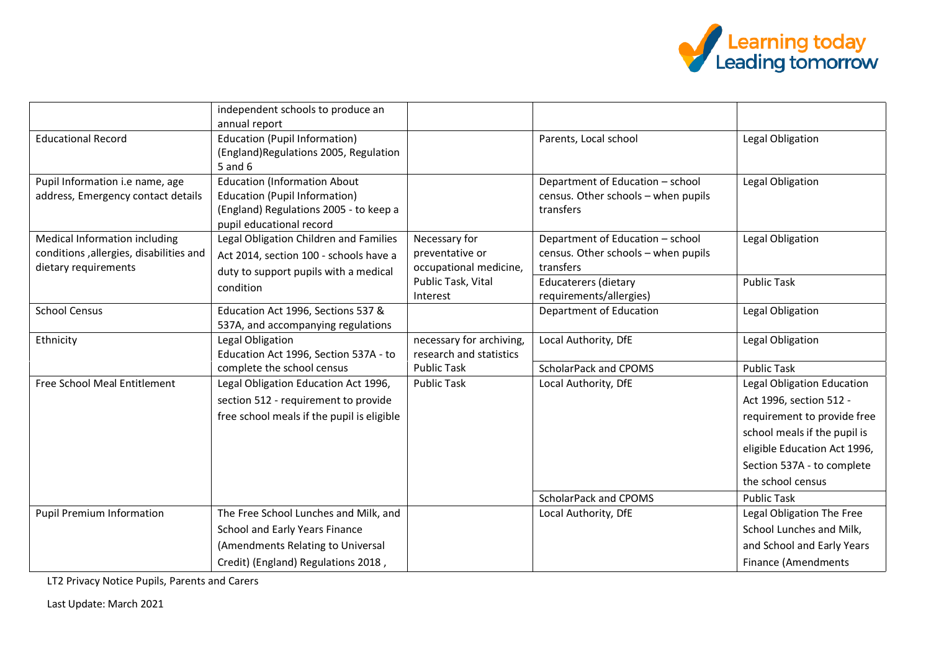

|                                                                                                  | independent schools to produce an<br>annual report                                                                                                |                                                            |                                                                                      |                                                                                                                                                                                                         |
|--------------------------------------------------------------------------------------------------|---------------------------------------------------------------------------------------------------------------------------------------------------|------------------------------------------------------------|--------------------------------------------------------------------------------------|---------------------------------------------------------------------------------------------------------------------------------------------------------------------------------------------------------|
| <b>Educational Record</b>                                                                        | <b>Education (Pupil Information)</b><br>(England) Regulations 2005, Regulation<br>5 and 6                                                         |                                                            | Parents, Local school                                                                | Legal Obligation                                                                                                                                                                                        |
| Pupil Information i.e name, age<br>address, Emergency contact details                            | <b>Education (Information About</b><br><b>Education (Pupil Information)</b><br>(England) Regulations 2005 - to keep a<br>pupil educational record |                                                            | Department of Education - school<br>census. Other schools - when pupils<br>transfers | Legal Obligation                                                                                                                                                                                        |
| Medical Information including<br>conditions, allergies, disabilities and<br>dietary requirements | Legal Obligation Children and Families<br>Act 2014, section 100 - schools have a<br>duty to support pupils with a medical                         | Necessary for<br>preventative or<br>occupational medicine, | Department of Education - school<br>census. Other schools - when pupils<br>transfers | Legal Obligation                                                                                                                                                                                        |
|                                                                                                  | condition                                                                                                                                         | Public Task, Vital<br>Interest                             | <b>Educaterers (dietary</b><br>requirements/allergies)                               | <b>Public Task</b>                                                                                                                                                                                      |
| <b>School Census</b>                                                                             | Education Act 1996, Sections 537 &<br>537A, and accompanying regulations                                                                          |                                                            | Department of Education                                                              | Legal Obligation                                                                                                                                                                                        |
| Ethnicity                                                                                        | Legal Obligation<br>Education Act 1996, Section 537A - to                                                                                         | necessary for archiving,<br>research and statistics        | Local Authority, DfE                                                                 | Legal Obligation                                                                                                                                                                                        |
|                                                                                                  | complete the school census                                                                                                                        | <b>Public Task</b>                                         | ScholarPack and CPOMS                                                                | <b>Public Task</b>                                                                                                                                                                                      |
| Free School Meal Entitlement                                                                     | Legal Obligation Education Act 1996,<br>section 512 - requirement to provide<br>free school meals if the pupil is eligible                        | <b>Public Task</b>                                         | Local Authority, DfE                                                                 | Legal Obligation Education<br>Act 1996, section 512 -<br>requirement to provide free<br>school meals if the pupil is<br>eligible Education Act 1996,<br>Section 537A - to complete<br>the school census |
|                                                                                                  |                                                                                                                                                   |                                                            | ScholarPack and CPOMS                                                                | <b>Public Task</b>                                                                                                                                                                                      |
| <b>Pupil Premium Information</b>                                                                 | The Free School Lunches and Milk, and                                                                                                             |                                                            | Local Authority, DfE                                                                 | Legal Obligation The Free                                                                                                                                                                               |
|                                                                                                  | School and Early Years Finance                                                                                                                    |                                                            |                                                                                      | School Lunches and Milk,                                                                                                                                                                                |
|                                                                                                  | (Amendments Relating to Universal                                                                                                                 |                                                            |                                                                                      | and School and Early Years                                                                                                                                                                              |
|                                                                                                  | Credit) (England) Regulations 2018,                                                                                                               |                                                            |                                                                                      | <b>Finance (Amendments</b>                                                                                                                                                                              |

LT2 Privacy Notice Pupils, Parents and Carers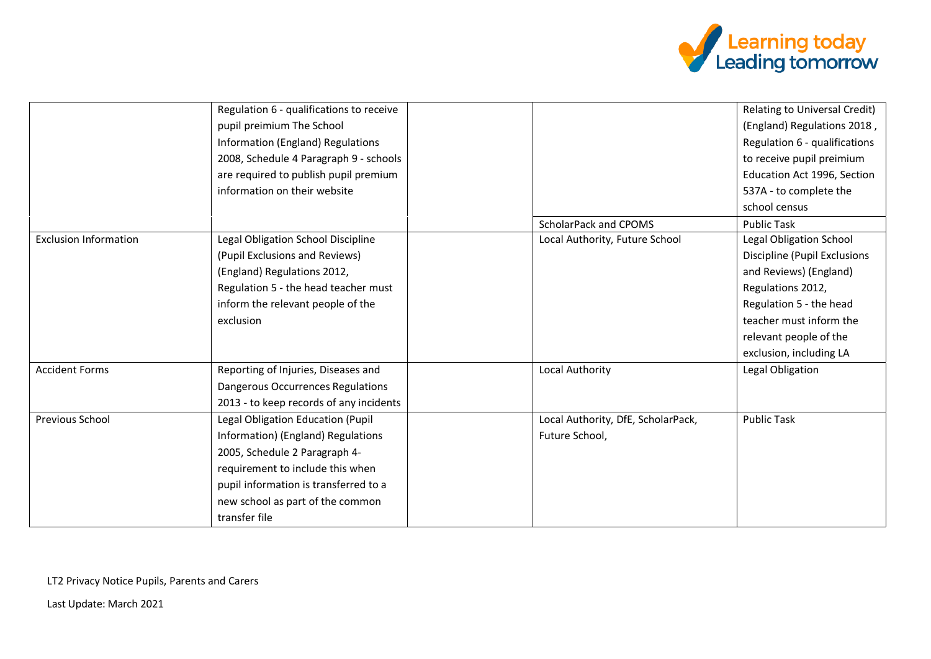

|                              | Regulation 6 - qualifications to receive |                                    | Relating to Universal Credit)  |
|------------------------------|------------------------------------------|------------------------------------|--------------------------------|
|                              | pupil preimium The School                |                                    | (England) Regulations 2018,    |
|                              | Information (England) Regulations        |                                    | Regulation 6 - qualifications  |
|                              | 2008, Schedule 4 Paragraph 9 - schools   |                                    | to receive pupil preimium      |
|                              | are required to publish pupil premium    |                                    | Education Act 1996, Section    |
|                              | information on their website             |                                    | 537A - to complete the         |
|                              |                                          |                                    | school census                  |
|                              |                                          | ScholarPack and CPOMS              | <b>Public Task</b>             |
| <b>Exclusion Information</b> | Legal Obligation School Discipline       | Local Authority, Future School     | <b>Legal Obligation School</b> |
|                              | (Pupil Exclusions and Reviews)           |                                    | Discipline (Pupil Exclusions   |
|                              | (England) Regulations 2012,              |                                    | and Reviews) (England)         |
|                              | Regulation 5 - the head teacher must     |                                    | Regulations 2012,              |
|                              | inform the relevant people of the        |                                    | Regulation 5 - the head        |
|                              | exclusion                                |                                    | teacher must inform the        |
|                              |                                          |                                    | relevant people of the         |
|                              |                                          |                                    | exclusion, including LA        |
| <b>Accident Forms</b>        | Reporting of Injuries, Diseases and      | Local Authority                    | Legal Obligation               |
|                              | Dangerous Occurrences Regulations        |                                    |                                |
|                              | 2013 - to keep records of any incidents  |                                    |                                |
| Previous School              | Legal Obligation Education (Pupil        | Local Authority, DfE, ScholarPack, | <b>Public Task</b>             |
|                              | Information) (England) Regulations       | Future School,                     |                                |
|                              | 2005, Schedule 2 Paragraph 4-            |                                    |                                |
|                              | requirement to include this when         |                                    |                                |
|                              | pupil information is transferred to a    |                                    |                                |
|                              | new school as part of the common         |                                    |                                |
|                              | transfer file                            |                                    |                                |

LT2 Privacy Notice Pupils, Parents and Carers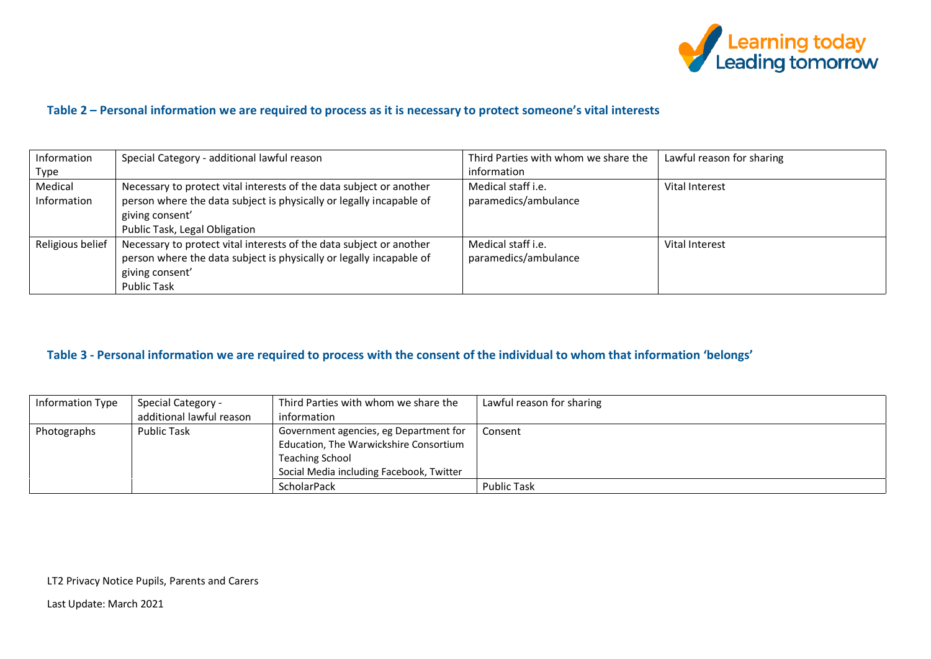

## **Table 2 – Personal information we are required to process as it is necessary to protect someone's vital interests**

| Information      | Special Category - additional lawful reason                         | Third Parties with whom we share the | Lawful reason for sharing |
|------------------|---------------------------------------------------------------------|--------------------------------------|---------------------------|
| Type             |                                                                     | information                          |                           |
| Medical          | Necessary to protect vital interests of the data subject or another | Medical staff i.e.                   | Vital Interest            |
| Information      | person where the data subject is physically or legally incapable of | paramedics/ambulance                 |                           |
|                  | giving consent'                                                     |                                      |                           |
|                  | Public Task, Legal Obligation                                       |                                      |                           |
| Religious belief | Necessary to protect vital interests of the data subject or another | Medical staff <i>i.e.</i>            | Vital Interest            |
|                  | person where the data subject is physically or legally incapable of | paramedics/ambulance                 |                           |
|                  | giving consent'                                                     |                                      |                           |
|                  | <b>Public Task</b>                                                  |                                      |                           |

## **Table 3 - Personal information we are required to process with the consent of the individual to whom that information 'belongs'**

| Information Type | Special Category -       | Third Parties with whom we share the     | Lawful reason for sharing |
|------------------|--------------------------|------------------------------------------|---------------------------|
|                  | additional lawful reason | information                              |                           |
| Photographs      | <b>Public Task</b>       | Government agencies, eg Department for   | Consent                   |
|                  |                          | Education, The Warwickshire Consortium   |                           |
|                  |                          | <b>Teaching School</b>                   |                           |
|                  |                          | Social Media including Facebook, Twitter |                           |
|                  |                          | ScholarPack                              | <b>Public Task</b>        |

LT2 Privacy Notice Pupils, Parents and Carers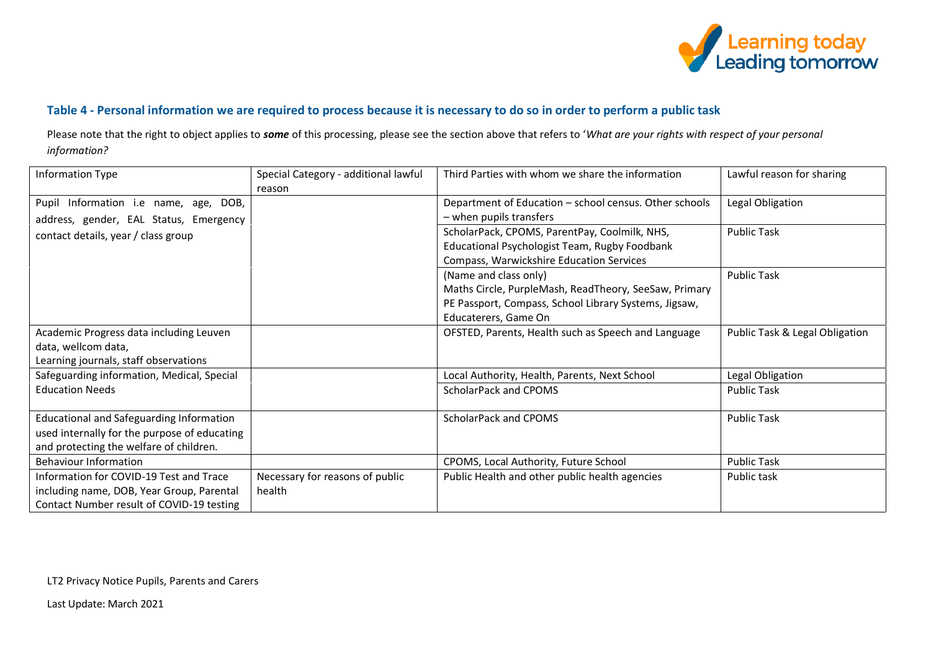

## **Table 4 - Personal information we are required to process because it is necessary to do so in order to perform a public task**

Please note that the right to object applies to *some* of this processing, please see the section above that refers to '*What are your rights with respect of your personal information?*

| Information Type                             | Special Category - additional lawful | Third Parties with whom we share the information       | Lawful reason for sharing      |
|----------------------------------------------|--------------------------------------|--------------------------------------------------------|--------------------------------|
|                                              | reason                               |                                                        |                                |
| Pupil Information i.e name, age, DOB,        |                                      | Department of Education - school census. Other schools | Legal Obligation               |
| address, gender, EAL Status, Emergency       |                                      | $-$ when pupils transfers                              |                                |
| contact details, year / class group          |                                      | ScholarPack, CPOMS, ParentPay, Coolmilk, NHS,          | <b>Public Task</b>             |
|                                              |                                      | Educational Psychologist Team, Rugby Foodbank          |                                |
|                                              |                                      | Compass, Warwickshire Education Services               |                                |
|                                              |                                      | (Name and class only)                                  | <b>Public Task</b>             |
|                                              |                                      | Maths Circle, PurpleMash, ReadTheory, SeeSaw, Primary  |                                |
|                                              |                                      | PE Passport, Compass, School Library Systems, Jigsaw,  |                                |
|                                              |                                      | Educaterers, Game On                                   |                                |
| Academic Progress data including Leuven      |                                      | OFSTED, Parents, Health such as Speech and Language    | Public Task & Legal Obligation |
| data, wellcom data,                          |                                      |                                                        |                                |
| Learning journals, staff observations        |                                      |                                                        |                                |
| Safeguarding information, Medical, Special   |                                      | Local Authority, Health, Parents, Next School          | Legal Obligation               |
| <b>Education Needs</b>                       |                                      | ScholarPack and CPOMS                                  | <b>Public Task</b>             |
|                                              |                                      |                                                        |                                |
| Educational and Safeguarding Information     |                                      | ScholarPack and CPOMS                                  | <b>Public Task</b>             |
| used internally for the purpose of educating |                                      |                                                        |                                |
| and protecting the welfare of children.      |                                      |                                                        |                                |
| <b>Behaviour Information</b>                 |                                      | CPOMS, Local Authority, Future School                  | <b>Public Task</b>             |
| Information for COVID-19 Test and Trace      | Necessary for reasons of public      | Public Health and other public health agencies         | Public task                    |
| including name, DOB, Year Group, Parental    | health                               |                                                        |                                |
| Contact Number result of COVID-19 testing    |                                      |                                                        |                                |

LT2 Privacy Notice Pupils, Parents and Carers